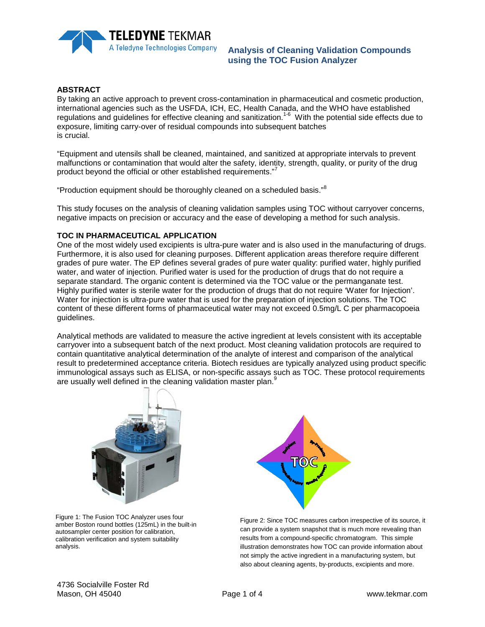

## **Analysis of Cleaning Validation Compounds using the TOC Fusion Analyzer**

## **ABSTRACT**

By taking an active approach to prevent cross-contamination in pharmaceutical and cosmetic production, international agencies such as the USFDA, ICH, EC, Health Canada, and the WHO have established regulations and guidelines for effective cleaning and sanitization.<sup>1-6</sup> With the potential side effects due to exposure, limiting carry-over of residual compounds into subsequent batches is crucial.

"Equipment and utensils shall be cleaned, maintained, and sanitized at appropriate intervals to prevent malfunctions or contamination that would alter the safety, identity, strength, quality, or purity of the drug product beyond the official or other established requirements."<sup>7</sup>

"Production equipment should be thoroughly cleaned on a scheduled basis."<sup>8</sup>

This study focuses on the analysis of cleaning validation samples using TOC without carryover concerns, negative impacts on precision or accuracy and the ease of developing a method for such analysis.

## **TOC IN PHARMACEUTICAL APPLICATION**

One of the most widely used excipients is ultra-pure water and is also used in the manufacturing of drugs. Furthermore, it is also used for cleaning purposes. Different application areas therefore require different grades of pure water. The EP defines several grades of pure water quality: purified water, highly purified water, and water of injection. Purified water is used for the production of drugs that do not require a separate standard. The organic content is determined via the TOC value or the permanganate test. Highly purified water is sterile water for the production of drugs that do not require 'Water for Injection'. Water for injection is ultra-pure water that is used for the preparation of injection solutions. The TOC content of these different forms of pharmaceutical water may not exceed 0.5mg/L C per pharmacopoeia guidelines.

Analytical methods are validated to measure the active ingredient at levels consistent with its acceptable carryover into a subsequent batch of the next product. Most cleaning validation protocols are required to contain quantitative analytical determination of the analyte of interest and comparison of the analytical result to predetermined acceptance criteria. Biotech residues are typically analyzed using product specific immunological assays such as ELISA, or non-specific assays such as TOC. These protocol requirements are usually well defined in the cleaning validation master plan.<sup>9</sup>



Figure 1: The Fusion TOC Analyzer uses four amber Boston round bottles (125mL) in the built-in autosampler center position for calibration, calibration verification and system suitability analysis.



Figure 2: Since TOC measures carbon irrespective of its source, it can provide a system snapshot that is much more revealing than results from a compound-specific chromatogram. This simple illustration demonstrates how TOC can provide information about not simply the active ingredient in a manufacturing system, but also about cleaning agents, by-products, excipients and more.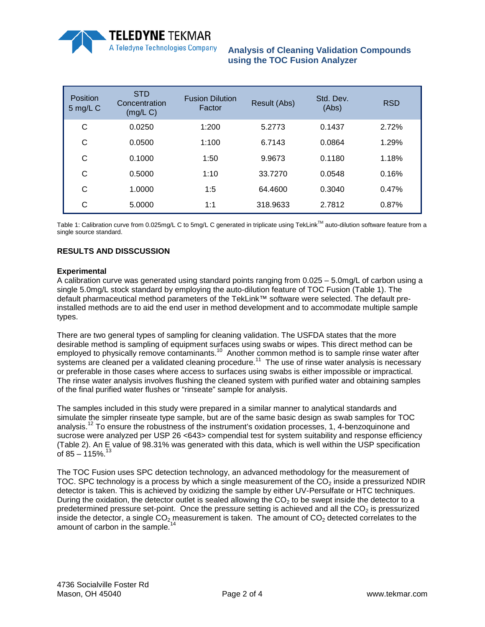

**Analysis of Cleaning Validation Compounds using the TOC Fusion Analyzer**

| <b>Position</b><br>5 mg/L C | <b>STD</b><br>Concentration<br>(mg/L) | <b>Fusion Dilution</b><br>Factor | Result (Abs) | Std. Dev.<br>(Abs) | <b>RSD</b> |
|-----------------------------|---------------------------------------|----------------------------------|--------------|--------------------|------------|
| С                           | 0.0250                                | 1:200                            | 5.2773       | 0.1437             | 2.72%      |
| С                           | 0.0500                                | 1:100                            | 6.7143       | 0.0864             | 1.29%      |
| С                           | 0.1000                                | 1:50                             | 9.9673       | 0.1180             | 1.18%      |
| С                           | 0.5000                                | 1:10                             | 33.7270      | 0.0548             | 0.16%      |
| C                           | 1.0000                                | 1:5                              | 64.4600      | 0.3040             | 0.47%      |
| С                           | 5.0000                                | 1:1                              | 318.9633     | 2.7812             | 0.87%      |

Table 1: Calibration curve from 0.025mg/L C to 5mg/L C generated in triplicate using TekLink<sup>TM</sup> auto-dilution software feature from a single source standard.

## **RESULTS AND DISSCUSSION**

### **Experimental**

A calibration curve was generated using standard points ranging from 0.025 – 5.0mg/L of carbon using a single 5.0mg/L stock standard by employing the auto-dilution feature of TOC Fusion (Table 1). The default pharmaceutical method parameters of the TekLink™ software were selected. The default preinstalled methods are to aid the end user in method development and to accommodate multiple sample types.

There are two general types of sampling for cleaning validation. The USFDA states that the more desirable method is sampling of equipment surfaces using swabs or wipes. This direct method can be desirable method is sampling of equipment samples some common method is to sample rinse water after employed to physically remove contaminants.<sup>10</sup> Another common method is to sample rinse water after systems are cleaned per a validated cleaning procedure.<sup>11</sup> The use of rinse water analysis is necessary or preferable in those cases where access to surfaces using swabs is either impossible or impractical. The rinse water analysis involves flushing the cleaned system with purified water and obtaining samples of the final purified water flushes or "rinseate" sample for analysis.

The samples included in this study were prepared in a similar manner to analytical standards and simulate the simpler rinseate type sample, but are of the same basic design as swab samples for TOC analysis.<sup>12</sup> To ensure the robustness of the instrument's oxidation processes, 1, 4-benzoquinone and sucrose were analyzed per USP 26 <643> compendial test for system suitability and response efficiency (Table 2). An E value of 98.31% was generated with this data, which is well within the USP specification of 85 –  $115\%$ <sup>13</sup>

The TOC Fusion uses SPC detection technology, an advanced methodology for the measurement of TOC. SPC technology is a process by which a single measurement of the  $CO<sub>2</sub>$  inside a pressurized NDIR detector is taken. This is achieved by oxidizing the sample by either UV-Persulfate or HTC techniques. During the oxidation, the detector outlet is sealed allowing the  $CO<sub>2</sub>$  to be swept inside the detector to a predetermined pressure set-point. Once the pressure setting is achieved and all the  $CO<sub>2</sub>$  is pressurized inside the detector, a single  $CO<sub>2</sub>$  measurement is taken. The amount of  $CO<sub>2</sub>$  detected correlates to the amount of carbon in the sample.<sup>14</sup>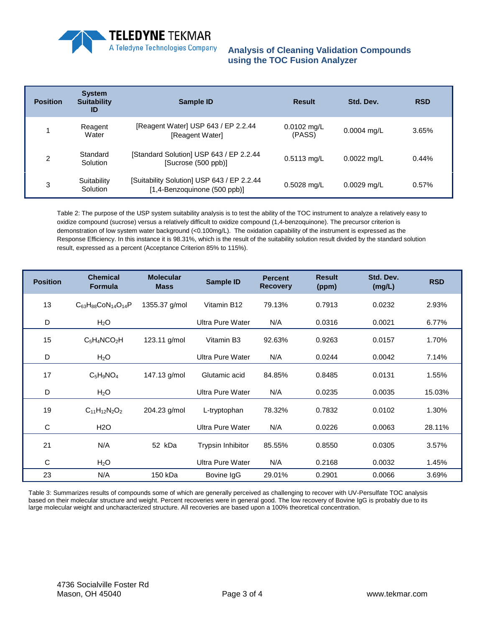

# **Analysis of Cleaning Validation Compounds using the TOC Fusion Analyzer**

| <b>Position</b> | <b>System</b><br><b>Suitability</b><br>ID | Sample ID                                                                  | <b>Result</b>           | Std. Dev.     | <b>RSD</b> |
|-----------------|-------------------------------------------|----------------------------------------------------------------------------|-------------------------|---------------|------------|
|                 | Reagent<br>Water                          | [Reagent Water] USP 643 / EP 2.2.44<br>[Reagent Water]                     | $0.0102$ mg/L<br>(PASS) | $0.0004$ mg/L | 3.65%      |
| $\overline{c}$  | Standard<br>Solution                      | [Standard Solution] USP 643 / EP 2.2.44<br>[Sucrose (500 ppb)]             | $0.5113$ mg/L           | $0.0022$ mg/L | 0.44%      |
| 3               | Suitability<br>Solution                   | [Suitability Solution] USP 643 / EP 2.2.44<br>[1,4-Benzoquinone (500 ppb)] | $0.5028$ mg/L           | $0.0029$ mg/L | 0.57%      |

Table 2: The purpose of the USP system suitability analysis is to test the ability of the TOC instrument to analyze a relatively easy to oxidize compound (sucrose) versus a relatively difficult to oxidize compound (1,4-benzoquinone). The precursor criterion is demonstration of low system water background (<0.100mg/L). The oxidation capability of the instrument is expressed as the Response Efficiency. In this instance it is 98.31%, which is the result of the suitability solution result divided by the standard solution result, expressed as a percent (Acceptance Criterion 85% to 115%).

| <b>Position</b> | <b>Chemical</b><br><b>Formula</b> | <b>Molecular</b><br><b>Mass</b> | <b>Sample ID</b>        | <b>Percent</b><br><b>Recovery</b> | <b>Result</b><br>(ppm) | Std. Dev.<br>(mg/L) | <b>RSD</b> |
|-----------------|-----------------------------------|---------------------------------|-------------------------|-----------------------------------|------------------------|---------------------|------------|
| 13              | $C_{63}H_{88}CoN_{14}O_{14}P$     | 1355.37 g/mol                   | Vitamin B12             | 79.13%                            | 0.7913                 | 0.0232              | 2.93%      |
| D               | H <sub>2</sub> O                  |                                 | Ultra Pure Water        | N/A                               | 0.0316                 | 0.0021              | 6.77%      |
| 15              | $C_5H_4NCO_2H$                    | 123.11 g/mol                    | Vitamin B3              | 92.63%                            | 0.9263                 | 0.0157              | 1.70%      |
| D               | H <sub>2</sub> O                  |                                 | Ultra Pure Water        | N/A                               | 0.0244                 | 0.0042              | 7.14%      |
| 17              | $C_5H_9NO_4$                      | 147.13 g/mol                    | Glutamic acid           | 84.85%                            | 0.8485                 | 0.0131              | 1.55%      |
| D               | H <sub>2</sub> O                  |                                 | <b>Ultra Pure Water</b> | N/A                               | 0.0235                 | 0.0035              | 15.03%     |
| 19              | $C_{11}H_{12}N_2O_2$              | 204.23 g/mol                    | L-tryptophan            | 78.32%                            | 0.7832                 | 0.0102              | 1.30%      |
| C               | H <sub>2</sub> O                  |                                 | <b>Ultra Pure Water</b> | N/A                               | 0.0226                 | 0.0063              | 28.11%     |
| 21              | N/A                               | 52 kDa                          | Trypsin Inhibitor       | 85.55%                            | 0.8550                 | 0.0305              | 3.57%      |
| C               | H <sub>2</sub> O                  |                                 | Ultra Pure Water        | N/A                               | 0.2168                 | 0.0032              | 1.45%      |
| 23              | N/A                               | 150 kDa                         | Bovine IgG              | 29.01%                            | 0.2901                 | 0.0066              | 3.69%      |

Table 3: Summarizes results of compounds some of which are generally perceived as challenging to recover with UV-Persulfate TOC analysis based on their molecular structure and weight. Percent recoveries were in general good. The low recovery of Bovine IgG is probably due to its large molecular weight and uncharacterized structure. All recoveries are based upon a 100% theoretical concentration.